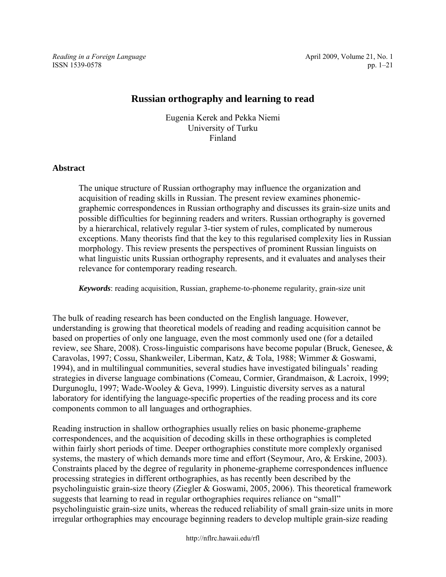ISSN 1539-0578 pp. 1–21

*Reading in a Foreign Language* **April 2009, Volume 21, No. 1 April 2009**, Volume 21, No. 1

# **Russian orthography and learning to read**

Eugenia Kerek and Pekka Niemi University of Turku Finland

# **Abstract**

The unique structure of Russian orthography may influence the organization and acquisition of reading skills in Russian. The present review examines phonemicgraphemic correspondences in Russian orthography and discusses its grain-size units and possible difficulties for beginning readers and writers. Russian orthography is governed by a hierarchical, relatively regular 3-tier system of rules, complicated by numerous exceptions. Many theorists find that the key to this regularised complexity lies in Russian morphology. This review presents the perspectives of prominent Russian linguists on what linguistic units Russian orthography represents, and it evaluates and analyses their relevance for contemporary reading research.

*Keywords*: reading acquisition, Russian, grapheme-to-phoneme regularity, grain-size unit

The bulk of reading research has been conducted on the English language. However, understanding is growing that theoretical models of reading and reading acquisition cannot be based on properties of only one language, even the most commonly used one (for a detailed review, see Share, 2008). Cross-linguistic comparisons have become popular (Bruck, Genesee, & Caravolas, 1997; Cossu, Shankweiler, Liberman, Katz, & Tola, 1988; Wimmer & Goswami, 1994), and in multilingual communities, several studies have investigated bilinguals' reading strategies in diverse language combinations (Comeau, Cormier, Grandmaison, & Lacroix, 1999; Durgunoglu, 1997; Wade-Wooley & Geva, 1999). Linguistic diversity serves as a natural laboratory for identifying the language-specific properties of the reading process and its core components common to all languages and orthographies.

Reading instruction in shallow orthographies usually relies on basic phoneme-grapheme correspondences, and the acquisition of decoding skills in these orthographies is completed within fairly short periods of time. Deeper orthographies constitute more complexly organised systems, the mastery of which demands more time and effort (Seymour, Aro, & Erskine, 2003). Constraints placed by the degree of regularity in phoneme-grapheme correspondences influence processing strategies in different orthographies, as has recently been described by the psycholinguistic grain-size theory (Ziegler & Goswami, 2005, 2006). This theoretical framework suggests that learning to read in regular orthographies requires reliance on "small" psycholinguistic grain-size units, whereas the reduced reliability of small grain-size units in more irregular orthographies may encourage beginning readers to develop multiple grain-size reading

http://nflrc.hawaii.edu/rfl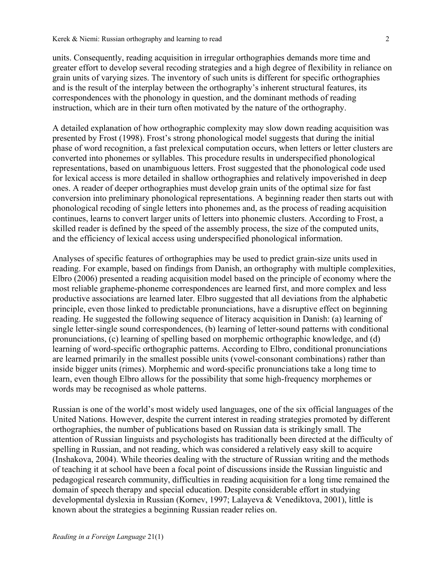units. Consequently, reading acquisition in irregular orthographies demands more time and greater effort to develop several recoding strategies and a high degree of flexibility in reliance on grain units of varying sizes. The inventory of such units is different for specific orthographies and is the result of the interplay between the orthography's inherent structural features, its correspondences with the phonology in question, and the dominant methods of reading instruction, which are in their turn often motivated by the nature of the orthography.

A detailed explanation of how orthographic complexity may slow down reading acquisition was presented by Frost (1998). Frost's strong phonological model suggests that during the initial phase of word recognition, a fast prelexical computation occurs, when letters or letter clusters are converted into phonemes or syllables. This procedure results in underspecified phonological representations, based on unambiguous letters. Frost suggested that the phonological code used for lexical access is more detailed in shallow orthographies and relatively impoverished in deep ones. A reader of deeper orthographies must develop grain units of the optimal size for fast conversion into preliminary phonological representations. A beginning reader then starts out with phonological recoding of single letters into phonemes and, as the process of reading acquisition continues, learns to convert larger units of letters into phonemic clusters. According to Frost, a skilled reader is defined by the speed of the assembly process, the size of the computed units, and the efficiency of lexical access using underspecified phonological information.

Analyses of specific features of orthographies may be used to predict grain-size units used in reading. For example, based on findings from Danish, an orthography with multiple complexities, Elbro (2006) presented a reading acquisition model based on the principle of economy where the most reliable grapheme-phoneme correspondences are learned first, and more complex and less productive associations are learned later. Elbro suggested that all deviations from the alphabetic principle, even those linked to predictable pronunciations, have a disruptive effect on beginning reading. He suggested the following sequence of literacy acquisition in Danish: (a) learning of single letter-single sound correspondences, (b) learning of letter-sound patterns with conditional pronunciations, (c) learning of spelling based on morphemic orthographic knowledge, and (d) learning of word-specific orthographic patterns. According to Elbro, conditional pronunciations are learned primarily in the smallest possible units (vowel-consonant combinations) rather than inside bigger units (rimes). Morphemic and word-specific pronunciations take a long time to learn, even though Elbro allows for the possibility that some high-frequency morphemes or words may be recognised as whole patterns.

Russian is one of the world's most widely used languages, one of the six official languages of the United Nations. However, despite the current interest in reading strategies promoted by different orthographies, the number of publications based on Russian data is strikingly small. The attention of Russian linguists and psychologists has traditionally been directed at the difficulty of spelling in Russian, and not reading, which was considered a relatively easy skill to acquire (Inshakova, 2004). While theories dealing with the structure of Russian writing and the methods of teaching it at school have been a focal point of discussions inside the Russian linguistic and pedagogical research community, difficulties in reading acquisition for a long time remained the domain of speech therapy and special education. Despite considerable effort in studying developmental dyslexia in Russian (Kornev, 1997; Lalayeva & Venediktova, 2001), little is known about the strategies a beginning Russian reader relies on.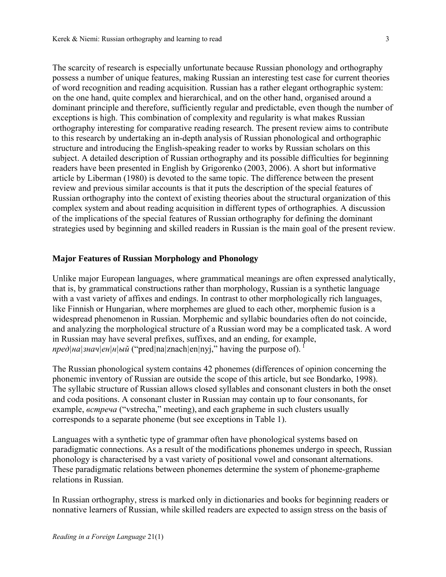The scarcity of research is especially unfortunate because Russian phonology and orthography possess a number of unique features, making Russian an interesting test case for current theories of word recognition and reading acquisition. Russian has a rather elegant orthographic system: on the one hand, quite complex and hierarchical, and on the other hand, organised around a dominant principle and therefore, sufficiently regular and predictable, even though the number of exceptions is high. This combination of complexity and regularity is what makes Russian orthography interesting for comparative reading research. The present review aims to contribute to this research by undertaking an in-depth analysis of Russian phonological and orthographic structure and introducing the English-speaking reader to works by Russian scholars on this subject. A detailed description of Russian orthography and its possible difficulties for beginning readers have been presented in English by Grigorenko (2003, 2006). A short but informative article by Liberman (1980) is devoted to the same topic. The difference between the present review and previous similar accounts is that it puts the description of the special features of Russian orthography into the context of existing theories about the structural organization of this complex system and about reading acquisition in different types of orthographies. A discussion of the implications of the special features of Russian orthography for defining the dominant strategies used by beginning and skilled readers in Russian is the main goal of the present review.

#### **Major Features of Russian Morphology and Phonology**

Unlike major European languages, where grammatical meanings are often expressed analytically, that is, by grammatical constructions rather than morphology, Russian is a synthetic language with a vast variety of affixes and endings. In contrast to other morphologically rich languages, like Finnish or Hungarian, where morphemes are glued to each other, morphemic fusion is a widespread phenomenon in Russian. Morphemic and syllabic boundaries often do not coincide, and analyzing the morphological structure of a Russian word may be a complicated task. A word in Russian may have several prefixes, suffixes, and an ending, for example, *пред* $|{\bf H}$  $|{\bf H}$  $|{\bf H}$  $|{\bf H}$  $|{\bf H}$  $|{\bf H}$  $|{\bf H}$  $|{\bf H}$  $|{\bf H}$  $|{\bf H}$  $|{\bf H}$  $|{\bf H}$  $|{\bf H}$  $|{\bf H}$  $|{\bf H}$  $|{\bf H}$  $|{\bf H}$  $|{\bf H}$  $|{\bf H}$  $|{\bf H}$  $|{\bf H}$  $|{\bf H}$  $|{\bf H}$  $|{\bf H}$  $|{\bf H}$  $|{\bf H}$  $|{\bf H}$  $|{\bf H}$  $|{\bf H}$  $|{\bf H}$  $|{\bf$ 

The Russian phonological system contains 42 phonemes (differences of opinion concerning the phonemic inventory of Russian are outside the scope of this article, but see Bondarko, 1998). The syllabic structure of Russian allows closed syllables and consonant clusters in both the onset and coda positions. A consonant cluster in Russian may contain up to four consonants, for example, *встреча* ("vstrecha," meeting), and each grapheme in such clusters usually corresponds to a separate phoneme (but see exceptions in Table 1).

Languages with a synthetic type of grammar often have phonological systems based on paradigmatic connections. As a result of the modifications phonemes undergo in speech, Russian phonology is characterised by a vast variety of positional vowel and consonant alternations. These paradigmatic relations between phonemes determine the system of phoneme-grapheme relations in Russian.

In Russian orthography, stress is marked only in dictionaries and books for beginning readers or nonnative learners of Russian, while skilled readers are expected to assign stress on the basis of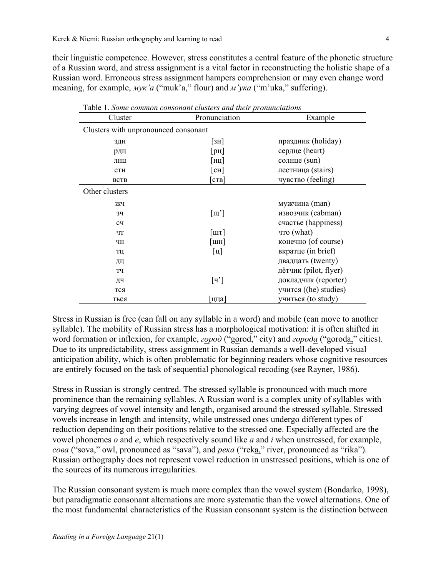their linguistic competence. However, stress constitutes a central feature of the phonetic structure of a Russian word, and stress assignment is a vital factor in reconstructing the holistic shape of a Russian word. Erroneous stress assignment hampers comprehension or may even change word meaning, for example, *мук'а* ("muk'a," flour) and *м'ука* ("m'uka," suffering).

| Table 1. Some common consonant clusters and their pronunciations |                                   |                       |  |
|------------------------------------------------------------------|-----------------------------------|-----------------------|--|
| Cluster                                                          | Pronunciation                     | Example               |  |
| Clusters with unpronounced consonant                             |                                   |                       |  |
| ЗДН                                                              | [3H]                              | праздник (holiday)    |  |
| рдц                                                              | $[p_{\text{II}}]$                 | сердце (heart)        |  |
| ЛНЦ                                                              | [нц]                              | солнце (sun)          |  |
| <b>CTH</b>                                                       | $\lceil$ CH $\rceil$              | лестница (stairs)     |  |
| <b>BCTB</b>                                                      | $[\text{crB}]$                    | чувство (feeling)     |  |
| Other clusters                                                   |                                   |                       |  |
| ЖЧ                                                               |                                   | мужчина (man)         |  |
| 34                                                               | $\lceil \mathbf{m'} \rceil$       | извозчик (cabman)     |  |
| cч                                                               |                                   | счастье (happiness)   |  |
| ЧТ                                                               | $\lceil \text{I} \text{I} \rceil$ | что (what)            |  |
| ЧН                                                               | $\lceil$ ШН $\rceil$              | конечно (of course)   |  |
| ТЦ                                                               | $\lceil \mathbf{u} \rceil$        | вкратце (in brief)    |  |
| ДЦ                                                               |                                   | двадцать (twenty)     |  |
| ТЧ                                                               |                                   | лётчик (pilot, flyer) |  |
| ДЧ                                                               | $\lceil q' \rceil$                | докладчик (reporter)  |  |
| тся                                                              |                                   | учится ((he) studies) |  |
| ться                                                             | [цца]                             | учиться (to study)    |  |

Table 1. *Some common consonant clusters and their pronunciations*

Stress in Russian is free (can fall on any syllable in a word) and mobile (can move to another syllable). The mobility of Russian stress has a morphological motivation: it is often shifted in word formation or inflexion, for example, *город* ("gorod," city) and *города* ("goroda," cities). Due to its unpredictability, stress assignment in Russian demands a well-developed visual anticipation ability, which is often problematic for beginning readers whose cognitive resources are entirely focused on the task of sequential phonological recoding (see Rayner, 1986).

Stress in Russian is strongly centred. The stressed syllable is pronounced with much more prominence than the remaining syllables. A Russian word is a complex unity of syllables with varying degrees of vowel intensity and length, organised around the stressed syllable. Stressed vowels increase in length and intensity, while unstressed ones undergo different types of reduction depending on their positions relative to the stressed one. Especially affected are the vowel phonemes *o* and *e*, which respectively sound like *a* and *i* when unstressed, for example, *cова* ("sova," owl, pronounced as "sava"), and *река* ("reka," river, pronounced as "rika"). Russian orthography does not represent vowel reduction in unstressed positions, which is one of the sources of its numerous irregularities.

The Russian consonant system is much more complex than the vowel system (Bondarko, 1998), but paradigmatic consonant alternations are more systematic than the vowel alternations. One of the most fundamental characteristics of the Russian consonant system is the distinction between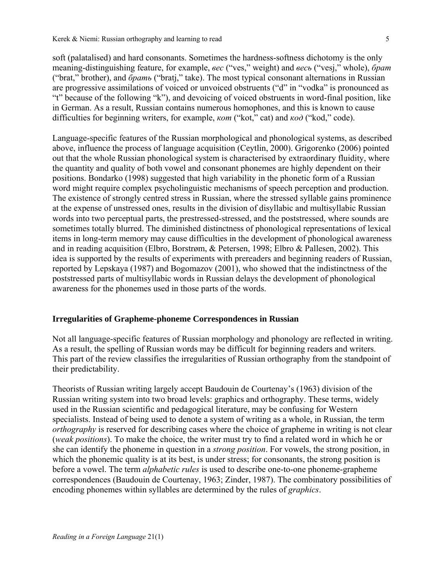soft (palatalised) and hard consonants. Sometimes the hardness-softness dichotomy is the only meaning-distinguishing feature, for example, *вес* ("ves," weight) and *весь* ("vesj," whole), *брат* ("brat," brother), and *брать* ("bratj," take). The most typical consonant alternations in Russian are progressive assimilations of voiced or unvoiced obstruents ("d" in "vodka" is pronounced as "t" because of the following "k"), and devoicing of voiced obstruents in word-final position, like in German. As a result, Russian contains numerous homophones, and this is known to cause difficulties for beginning writers, for example, *кот* ("kot," cat) and *код* ("kod," code).

Language-specific features of the Russian morphological and phonological systems, as described above, influence the process of language acquisition (Ceytlin, 2000). Grigorenko (2006) pointed out that the whole Russian phonological system is characterised by extraordinary fluidity, where the quantity and quality of both vowel and consonant phonemes are highly dependent on their positions. Bondarko (1998) suggested that high variability in the phonetic form of a Russian word might require complex psycholinguistic mechanisms of speech perception and production. The existence of strongly centred stress in Russian, where the stressed syllable gains prominence at the expense of unstressed ones, results in the division of disyllabic and multisyllabic Russian words into two perceptual parts, the prestressed-stressed, and the poststressed, where sounds are sometimes totally blurred. The diminished distinctness of phonological representations of lexical items in long-term memory may cause difficulties in the development of phonological awareness and in reading acquisition (Elbro, Borstrøm, & Petersen, 1998; Elbro & Pallesen, 2002). This idea is supported by the results of experiments with prereaders and beginning readers of Russian, reported by Lepskaya (1987) and Bogomazov (2001), who showed that the indistinctness of the poststressed parts of multisyllabic words in Russian delays the development of phonological awareness for the phonemes used in those parts of the words.

### **Irregularities of Grapheme-phoneme Correspondences in Russian**

Not all language-specific features of Russian morphology and phonology are reflected in writing. As a result, the spelling of Russian words may be difficult for beginning readers and writers. This part of the review classifies the irregularities of Russian orthography from the standpoint of their predictability.

Theorists of Russian writing largely accept Baudouin de Courtenay's (1963) division of the Russian writing system into two broad levels: graphics and orthography. These terms, widely used in the Russian scientific and pedagogical literature, may be confusing for Western specialists. Instead of being used to denote a system of writing as a whole, in Russian, the term *orthography* is reserved for describing cases where the choice of grapheme in writing is not clear (*weak positions*). To make the choice, the writer must try to find a related word in which he or she can identify the phoneme in question in a *strong position*. For vowels, the strong position, in which the phonemic quality is at its best, is under stress; for consonants, the strong position is before a vowel. The term *alphabetic rules* is used to describe one-to-one phoneme-grapheme correspondences (Baudouin de Courtenay, 1963; Zinder, 1987). The combinatory possibilities of encoding phonemes within syllables are determined by the rules of *graphics*.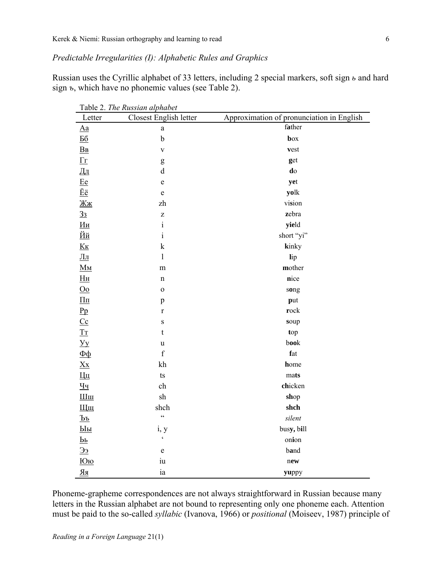*Predictable Irregularities (I): Alphabetic Rules and Graphics* 

Russian uses the Cyrillic alphabet of 33 letters, including 2 special markers, soft sign *ь* and hard sign *ъ*, which have no phonemic values (see Table 2).

|                                                                                             | Table 2. The Russian alphabet |                                           |
|---------------------------------------------------------------------------------------------|-------------------------------|-------------------------------------------|
| Letter                                                                                      | Closest English letter        | Approximation of pronunciation in English |
| $\underline{Aa}$                                                                            | $\rm{a}$                      | father                                    |
| $\underline{56}$                                                                            | $\mathbf b$                   | box                                       |
| B <sub>B</sub>                                                                              | $\mathbf V$                   | vest                                      |
| $\Gamma$                                                                                    | g                             | get                                       |
| Дд                                                                                          | $\mathbf d$                   | do                                        |
| Ee                                                                                          | $\mathbf e$                   | yet                                       |
| Ëë                                                                                          | $\mathbf e$                   | yolk                                      |
| Жж                                                                                          | zh                            | vision                                    |
| 3 <sub>3</sub>                                                                              | $\mathbf{Z}$                  | zebra                                     |
| <u>Ии</u>                                                                                   | $\rm i$                       | yield                                     |
| <u>Йй</u>                                                                                   | $\rm i$                       | short "yi"                                |
| K <sub>K</sub>                                                                              | $\mathbf k$                   | kinky                                     |
| $\underline{\Pi}$ п                                                                         | $\mathbf{l}$                  | lip                                       |
| $\underline{\mathbf{M}}$                                                                    | m                             | mother                                    |
| H <sub>H</sub>                                                                              | $\mathbf n$                   | nice                                      |
| $\underline{Oo}$                                                                            | $\mathbf 0$                   | song                                      |
| $\underline{\Pi}\underline{\pi}$                                                            | p                             | put                                       |
| Pp                                                                                          | $\mathbf r$                   | rock                                      |
| $cc$                                                                                        | $\mathbf S$                   | soup                                      |
| $T_{\rm T}$                                                                                 | $\mathbf t$                   | top                                       |
| $\underline{y}$                                                                             | u                             | book                                      |
| $\overline{\Phi}$                                                                           | $\mathbf f$                   | fat                                       |
| $X_{X}$                                                                                     | kh                            | home                                      |
| Щ                                                                                           | $\mathop{\rm ts}\nolimits$    | mats                                      |
| $\underline{q}$                                                                             | ch                            | chicken                                   |
| $\underline{\text{I\hspace{-.1em}I\hspace{-.1em}I}}\text{I\hspace{-.1em}I\hspace{-.1em}I}}$ | ${\rm sh}$                    | shop                                      |
| Щщ                                                                                          | shch                          | shch                                      |
| $\underline{\mathbf{P}}$                                                                    | $\overline{\mathbf{c}}$       | silent                                    |
| $П$                                                                                         | i, y                          | busy, bill                                |
| $\overline{\mathbf{P}^{\mathbf{P}}}$                                                        | $\pmb{\varsigma}$             | onion                                     |
| $\underline{\epsilon}\underline{\epsilon}$                                                  | e                             | band                                      |
| <u>Юю</u>                                                                                   | iu                            | new                                       |
| $\underline{R}$                                                                             | ia                            | yuppy                                     |

Phoneme-grapheme correspondences are not always straightforward in Russian because many letters in the Russian alphabet are not bound to representing only one phoneme each. Attention must be paid to the so-called *syllabic* (Ivanova, 1966) or *positional* (Moiseev, 1987) principle of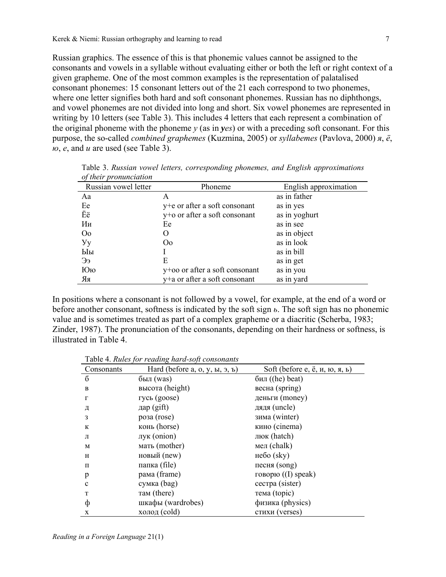Russian graphics. The essence of this is that phonemic values cannot be assigned to the consonants and vowels in a syllable without evaluating either or both the left or right context of a given grapheme. One of the most common examples is the representation of palatalised consonant phonemes: 15 consonant letters out of the 21 each correspond to two phonemes, where one letter signifies both hard and soft consonant phonemes. Russian has no diphthongs, and vowel phonemes are not divided into long and short. Six vowel phonemes are represented in writing by 10 letters (see Table 3). This includes 4 letters that each represent a combination of the original phoneme with the phoneme *y* (as in *yes*) or with a preceding soft consonant. For this purpose, the so-called *combined graphemes* (Kuzmina, 2005) or *syllabemes* (Pavlova, 2000) *я*, *ё*, *ю*, *е*, and *и* are used (see Table 3).

| <i>of their pronunctation</i> |                                |                       |
|-------------------------------|--------------------------------|-----------------------|
| Russian vowel letter          | Phoneme                        | English approximation |
| Aa                            | A                              | as in father          |
| Ee                            | y+e or after a soft consonant  | as in yes             |
| Ëë                            | y+o or after a soft consonant  | as in yoghurt         |
| Ии                            | Ee                             | as in see             |
| O <sub>0</sub>                | 0                              | as in object          |
| $y_y$                         | O <sub>0</sub>                 | as in look            |
| Ыы                            |                                | as in bill            |
| Ээ                            | E                              | as in get             |
| Юю                            | y+oo or after a soft consonant | as in you             |
| Яя                            | y+a or after a soft consonant  | as in yard            |

Table 3. *Russian vowel letters, corresponding phonemes, and English approximations of their pronunciation*

In positions where a consonant is not followed by a vowel, for example, at the end of a word or before another consonant, softness is indicated by the soft sign *ь*. The soft sign has no phonemic value and is sometimes treated as part of a complex grapheme or a diacritic (Scherba, 1983; Zinder, 1987). The pronunciation of the consonants, depending on their hardness or softness, is illustrated in Table 4.

Table 4. *Rules for reading hard-soft consonants*

| Consonants  | Hard (before $a, o, y, u, a, b$ ) | Soft (before e, ё, и, ю, я, ь) |
|-------------|-----------------------------------|--------------------------------|
| б           | $6$ ыл $(was)$                    | $6n\pi$ ((he) beat)            |
| B           | высота (height)                   | весна (spring)                 |
| $\Gamma$    | гусь (goose)                      | деньги (money)                 |
| Д           | дар $(gift)$                      | дядя (uncle)                   |
| 3           | posa (rose)                       | зима (winter)                  |
| К           | конь (horse)                      | кино (cinema)                  |
| Л           | лук (onion)                       | люк (hatch)                    |
| M           | мать (mother)                     | мел $(chalk)$                  |
| H           | новый (new)                       | небо $(sky)$                   |
| $\Pi$       | папка (file)                      | песня $(song)$                 |
| p           | рама (frame)                      | говорю $($ [] speak $)$        |
| $\mathbf c$ | сумка (bag)                       | cecrpa (sister)                |
| T           | там (there)                       | тема (topic)                   |
| ф           | шкафы (wardrobes)                 | физика (physics)               |
| X           | холод (cold)                      | стихи (verses)                 |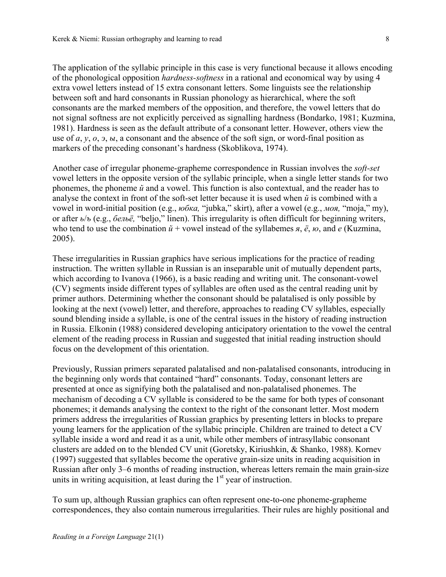The application of the syllabic principle in this case is very functional because it allows encoding of the phonological opposition *hardness-softness* in a rational and economical way by using 4 extra vowel letters instead of 15 extra consonant letters. Some linguists see the relationship between soft and hard consonants in Russian phonology as hierarchical, where the soft consonants are the marked members of the opposition, and therefore, the vowel letters that do not signal softness are not explicitly perceived as signalling hardness (Bondarko, 1981; Kuzmina, 1981). Hardness is seen as the default attribute of a consonant letter. However, others view the use of *а*, *у*, *о*, *э*, *ы*, a consonant and the absence of the soft sign, or word-final position as markers of the preceding consonant's hardness (Skoblikova, 1974).

Another case of irregular phoneme-grapheme correspondence in Russian involves the *soft-set*  vowel letters in the opposite version of the syllabic principle, when a single letter stands for two phonemes, the phoneme  $\tilde{u}$  and a vowel. This function is also contextual, and the reader has to analyse the context in front of the soft-set letter because it is used when *й* is combined with a vowel in word-initial position (e.g., *юбка,* "jubka," skirt), after a vowel (e.g., *моя,* "moja," my), or after *ь*/*ъ* (e.g., *бельё,* "beljo," linen). This irregularity is often difficult for beginning writers, who tend to use the combination *й* + vowel instead of the syllabemes *я*, *ё*, *ю*, and *е* (Kuzmina, 2005).

These irregularities in Russian graphics have serious implications for the practice of reading instruction. The written syllable in Russian is an inseparable unit of mutually dependent parts, which according to Ivanova (1966), is a basic reading and writing unit. The consonant-vowel (CV) segments inside different types of syllables are often used as the central reading unit by primer authors. Determining whether the consonant should be palatalised is only possible by looking at the next (vowel) letter, and therefore, approaches to reading CV syllables, especially sound blending inside a syllable, is one of the central issues in the history of reading instruction in Russia. Elkonin (1988) considered developing anticipatory orientation to the vowel the central element of the reading process in Russian and suggested that initial reading instruction should focus on the development of this orientation.

Previously, Russian primers separated palatalised and non-palatalised consonants, introducing in the beginning only words that contained "hard" consonants. Today, consonant letters are presented at once as signifying both the palatalised and non-palatalised phonemes. The mechanism of decoding a CV syllable is considered to be the same for both types of consonant phonemes; it demands analysing the context to the right of the consonant letter. Most modern primers address the irregularities of Russian graphics by presenting letters in blocks to prepare young learners for the application of the syllabic principle. Children are trained to detect a CV syllable inside a word and read it as a unit, while other members of intrasyllabic consonant clusters are added on to the blended CV unit (Goretsky, Kiriushkin, & Shanko, 1988). Kornev (1997) suggested that syllables become the operative grain-size units in reading acquisition in Russian after only 3–6 months of reading instruction, whereas letters remain the main grain-size units in writing acquisition, at least during the  $1<sup>st</sup>$  year of instruction.

To sum up, although Russian graphics can often represent one-to-one phoneme-grapheme correspondences, they also contain numerous irregularities. Their rules are highly positional and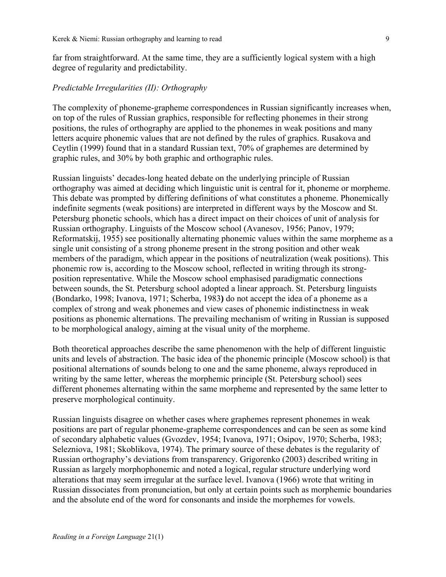far from straightforward. At the same time, they are a sufficiently logical system with a high degree of regularity and predictability.

### *Predictable Irregularities (II): Orthography*

The complexity of phoneme-grapheme correspondences in Russian significantly increases when, on top of the rules of Russian graphics, responsible for reflecting phonemes in their strong positions, the rules of orthography are applied to the phonemes in weak positions and many letters acquire phonemic values that are not defined by the rules of graphics. Rusakova and Ceytlin (1999) found that in a standard Russian text, 70% of graphemes are determined by graphic rules, and 30% by both graphic and orthographic rules.

Russian linguists' decades-long heated debate on the underlying principle of Russian orthography was aimed at deciding which linguistic unit is central for it, phoneme or morpheme. This debate was prompted by differing definitions of what constitutes a phoneme. Phonemically indefinite segments (weak positions) are interpreted in different ways by the Moscow and St. Petersburg phonetic schools, which has a direct impact on their choices of unit of analysis for Russian orthography. Linguists of the Moscow school (Avanesov, 1956; Panov, 1979; Reformatskij, 1955) see positionally alternating phonemic values within the same morpheme as a single unit consisting of a strong phoneme present in the strong position and other weak members of the paradigm, which appear in the positions of neutralization (weak positions). This phonemic row is, according to the Moscow school, reflected in writing through its strongposition representative. While the Moscow school emphasised paradigmatic connections between sounds, the St. Petersburg school adopted a linear approach. St. Petersburg linguists (Bondarko, 1998; Ivanova, 1971; Scherba, 1983**)** do not accept the idea of a phoneme as a complex of strong and weak phonemes and view cases of phonemic indistinctness in weak positions as phonemic alternations. The prevailing mechanism of writing in Russian is supposed to be morphological analogy, aiming at the visual unity of the morpheme.

Both theoretical approaches describe the same phenomenon with the help of different linguistic units and levels of abstraction. The basic idea of the phonemic principle (Moscow school) is that positional alternations of sounds belong to one and the same phoneme, always reproduced in writing by the same letter, whereas the morphemic principle (St. Petersburg school) sees different phonemes alternating within the same morpheme and represented by the same letter to preserve morphological continuity.

Russian linguists disagree on whether cases where graphemes represent phonemes in weak positions are part of regular phoneme-grapheme correspondences and can be seen as some kind of secondary alphabetic values (Gvozdev, 1954; Ivanova, 1971; Osipov, 1970; Scherba, 1983; Selezniova, 1981; Skoblikova, 1974). The primary source of these debates is the regularity of Russian orthography's deviations from transparency. Grigorenko (2003) described writing in Russian as largely morphophonemic and noted a logical, regular structure underlying word alterations that may seem irregular at the surface level. Ivanova (1966) wrote that writing in Russian dissociates from pronunciation, but only at certain points such as morphemic boundaries and the absolute end of the word for consonants and inside the morphemes for vowels.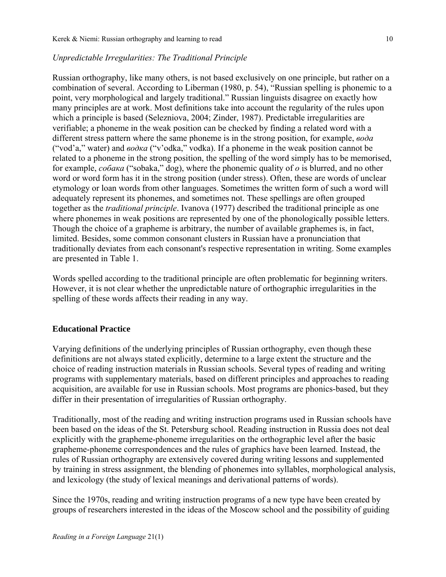### *Unpredictable Irregularities: The Traditional Principle*

Russian orthography, like many others, is not based exclusively on one principle, but rather on a combination of several. According to Liberman (1980, p. 54), "Russian spelling is phonemic to a point, very morphological and largely traditional." Russian linguists disagree on exactly how many principles are at work. Most definitions take into account the regularity of the rules upon which a principle is based (Selezniova, 2004; Zinder, 1987). Predictable irregularities are verifiable; a phoneme in the weak position can be checked by finding a related word with a different stress pattern where the same phoneme is in the strong position, for example, *вода* ("vod'a," water) and *водка* ("v'odka," vodka). If a phoneme in the weak position cannot be related to a phoneme in the strong position, the spelling of the word simply has to be memorised, for example, *собака* ("sobaka," dog), where the phonemic quality of *o* is blurred, and no other word or word form has it in the strong position (under stress). Often, these are words of unclear etymology or loan words from other languages. Sometimes the written form of such a word will adequately represent its phonemes, and sometimes not. These spellings are often grouped together as the *traditional principle*. Ivanova (1977) described the traditional principle as one where phonemes in weak positions are represented by one of the phonologically possible letters. Though the choice of a grapheme is arbitrary, the number of available graphemes is, in fact, limited. Besides, some common consonant clusters in Russian have a pronunciation that traditionally deviates from each consonant's respective representation in writing. Some examples are presented in Table 1.

Words spelled according to the traditional principle are often problematic for beginning writers. However, it is not clear whether the unpredictable nature of orthographic irregularities in the spelling of these words affects their reading in any way.

# **Educational Practice**

Varying definitions of the underlying principles of Russian orthography, even though these definitions are not always stated explicitly, determine to a large extent the structure and the choice of reading instruction materials in Russian schools. Several types of reading and writing programs with supplementary materials, based on different principles and approaches to reading acquisition, are available for use in Russian schools. Most programs are phonics-based, but they differ in their presentation of irregularities of Russian orthography.

Traditionally, most of the reading and writing instruction programs used in Russian schools have been based on the ideas of the St. Petersburg school. Reading instruction in Russia does not deal explicitly with the grapheme-phoneme irregularities on the orthographic level after the basic grapheme-phoneme correspondences and the rules of graphics have been learned. Instead, the rules of Russian orthography are extensively covered during writing lessons and supplemented by training in stress assignment, the blending of phonemes into syllables, morphological analysis, and lexicology (the study of lexical meanings and derivational patterns of words).

Since the 1970s, reading and writing instruction programs of a new type have been created by groups of researchers interested in the ideas of the Moscow school and the possibility of guiding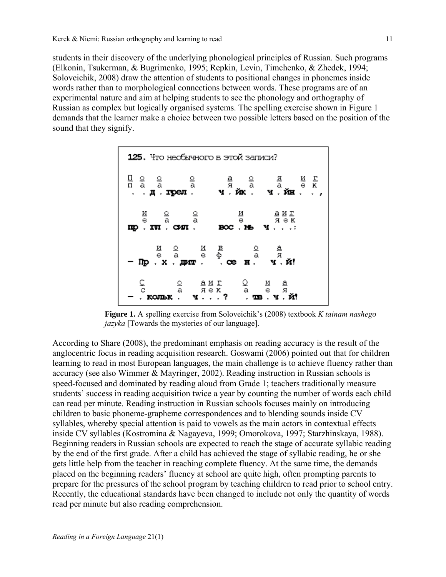students in their discovery of the underlying phonological principles of Russian. Such programs (Elkonin, Tsukerman, & Bugrimenko, 1995; Repkin, Levin, Timchenko, & Zhedek, 1994; Soloveichik, 2008) draw the attention of students to positional changes in phonemes inside words rather than to morphological connections between words. These programs are of an experimental nature and aim at helping students to see the phonology and orthography of Russian as complex but logically organised systems. The spelling exercise shown in Figure 1 demands that the learner make a choice between two possible letters based on the position of the sound that they signify.



**Figure 1.** A spelling exercise from Soloveichik's (2008) textbook *K tainam nashego jazyka* [Towards the mysteries of our language].

According to Share (2008), the predominant emphasis on reading accuracy is the result of the anglocentric focus in reading acquisition research. Goswami (2006) pointed out that for children learning to read in most European languages, the main challenge is to achieve fluency rather than accuracy (see also Wimmer & Mayringer, 2002). Reading instruction in Russian schools is speed-focused and dominated by reading aloud from Grade 1; teachers traditionally measure students' success in reading acquisition twice a year by counting the number of words each child can read per minute. Reading instruction in Russian schools focuses mainly on introducing children to basic phoneme-grapheme correspondences and to blending sounds inside CV syllables, whereby special attention is paid to vowels as the main actors in contextual effects inside CV syllables (Kostromina & Nagayeva, 1999; Omorokova, 1997; Starzhinskaya, 1988). Beginning readers in Russian schools are expected to reach the stage of accurate syllabic reading by the end of the first grade. After a child has achieved the stage of syllabic reading, he or she gets little help from the teacher in reaching complete fluency. At the same time, the demands placed on the beginning readers' fluency at school are quite high, often prompting parents to prepare for the pressures of the school program by teaching children to read prior to school entry. Recently, the educational standards have been changed to include not only the quantity of words read per minute but also reading comprehension.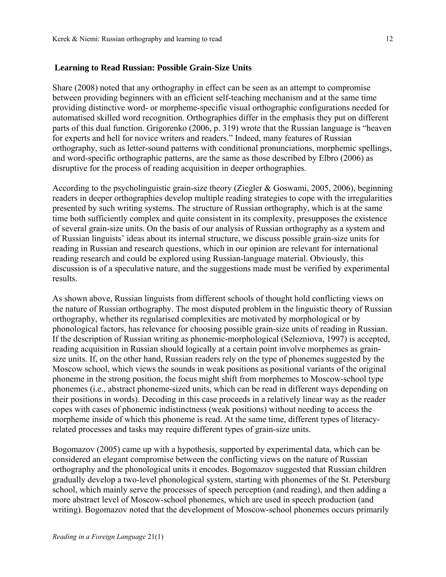#### **Learning to Read Russian: Possible Grain-Size Units**

Share (2008) noted that any orthography in effect can be seen as an attempt to compromise between providing beginners with an efficient self-teaching mechanism and at the same time providing distinctive word- or morpheme-specific visual orthographic configurations needed for automatised skilled word recognition. Orthographies differ in the emphasis they put on different parts of this dual function. Grigorenko (2006, p. 319) wrote that the Russian language is "heaven for experts and hell for novice writers and readers." Indeed, many features of Russian orthography, such as letter-sound patterns with conditional pronunciations, morphemic spellings, and word-specific orthographic patterns, are the same as those described by Elbro (2006) as disruptive for the process of reading acquisition in deeper orthographies.

According to the psycholinguistic grain-size theory (Ziegler & Goswami, 2005, 2006), beginning readers in deeper orthographies develop multiple reading strategies to cope with the irregularities presented by such writing systems. The structure of Russian orthography, which is at the same time both sufficiently complex and quite consistent in its complexity, presupposes the existence of several grain-size units. On the basis of our analysis of Russian orthography as a system and of Russian linguists' ideas about its internal structure, we discuss possible grain-size units for reading in Russian and research questions, which in our opinion are relevant for international reading research and could be explored using Russian-language material. Obviously, this discussion is of a speculative nature, and the suggestions made must be verified by experimental results.

As shown above, Russian linguists from different schools of thought hold conflicting views on the nature of Russian orthography. The most disputed problem in the linguistic theory of Russian orthography, whether its regularised complexities are motivated by morphological or by phonological factors, has relevance for choosing possible grain-size units of reading in Russian. If the description of Russian writing as phonemic-morphological (Selezniova, 1997) is accepted, reading acquisition in Russian should logically at a certain point involve morphemes as grainsize units. If, on the other hand, Russian readers rely on the type of phonemes suggested by the Moscow school, which views the sounds in weak positions as positional variants of the original phoneme in the strong position, the focus might shift from morphemes to Moscow-school type phonemes (i.e., abstract phoneme-sized units, which can be read in different ways depending on their positions in words). Decoding in this case proceeds in a relatively linear way as the reader copes with cases of phonemic indistinctness (weak positions) without needing to access the morpheme inside of which this phoneme is read. At the same time, different types of literacyrelated processes and tasks may require different types of grain-size units.

Bogomazov (2005) came up with a hypothesis, supported by experimental data, which can be considered an elegant compromise between the conflicting views on the nature of Russian orthography and the phonological units it encodes. Bogomazov suggested that Russian children gradually develop a two-level phonological system, starting with phonemes of the St. Petersburg school, which mainly serve the processes of speech perception (and reading), and then adding a more abstract level of Moscow-school phonemes, which are used in speech production (and writing). Bogomazov noted that the development of Moscow-school phonemes occurs primarily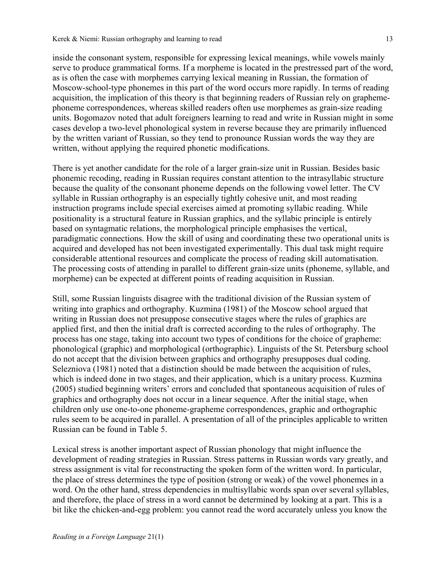inside the consonant system, responsible for expressing lexical meanings, while vowels mainly serve to produce grammatical forms. If a morpheme is located in the prestressed part of the word, as is often the case with morphemes carrying lexical meaning in Russian, the formation of Moscow-school-type phonemes in this part of the word occurs more rapidly. In terms of reading acquisition, the implication of this theory is that beginning readers of Russian rely on graphemephoneme correspondences, whereas skilled readers often use morphemes as grain-size reading units. Bogomazov noted that adult foreigners learning to read and write in Russian might in some cases develop a two-level phonological system in reverse because they are primarily influenced by the written variant of Russian, so they tend to pronounce Russian words the way they are written, without applying the required phonetic modifications.

There is yet another candidate for the role of a larger grain-size unit in Russian. Besides basic phonemic recoding, reading in Russian requires constant attention to the intrasyllabic structure because the quality of the consonant phoneme depends on the following vowel letter. The CV syllable in Russian orthography is an especially tightly cohesive unit, and most reading instruction programs include special exercises aimed at promoting syllabic reading. While positionality is a structural feature in Russian graphics, and the syllabic principle is entirely based on syntagmatic relations, the morphological principle emphasises the vertical, paradigmatic connections. How the skill of using and coordinating these two operational units is acquired and developed has not been investigated experimentally. This dual task might require considerable attentional resources and complicate the process of reading skill automatisation. The processing costs of attending in parallel to different grain-size units (phoneme, syllable, and morpheme) can be expected at different points of reading acquisition in Russian.

Still, some Russian linguists disagree with the traditional division of the Russian system of writing into graphics and orthography. Kuzmina (1981) of the Moscow school argued that writing in Russian does not presuppose consecutive stages where the rules of graphics are applied first, and then the initial draft is corrected according to the rules of orthography. The process has one stage, taking into account two types of conditions for the choice of grapheme: phonological (graphic) and morphological (orthographic). Linguists of the St. Petersburg school do not accept that the division between graphics and orthography presupposes dual coding. Selezniova (1981) noted that a distinction should be made between the acquisition of rules, which is indeed done in two stages, and their application, which is a unitary process. Kuzmina (2005) studied beginning writers' errors and concluded that spontaneous acquisition of rules of graphics and orthography does not occur in a linear sequence. After the initial stage, when children only use one-to-one phoneme-grapheme correspondences, graphic and orthographic rules seem to be acquired in parallel. A presentation of all of the principles applicable to written Russian can be found in Table 5.

Lexical stress is another important aspect of Russian phonology that might influence the development of reading strategies in Russian. Stress patterns in Russian words vary greatly, and stress assignment is vital for reconstructing the spoken form of the written word. In particular, the place of stress determines the type of position (strong or weak) of the vowel phonemes in a word. On the other hand, stress dependencies in multisyllabic words span over several syllables, and therefore, the place of stress in a word cannot be determined by looking at a part. This is a bit like the chicken-and-egg problem: you cannot read the word accurately unless you know the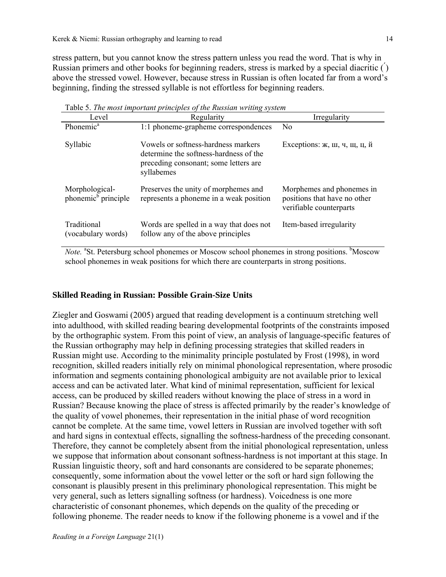stress pattern, but you cannot know the stress pattern unless you read the word. That is why in Russian primers and other books for beginning readers, stress is marked by a special diacritic ( ́) above the stressed vowel. However, because stress in Russian is often located far from a word's beginning, finding the stressed syllable is not effortless for beginning readers.

| Table 5. The most important principles of the Russian writing system |                                                                                                                                      |                                                                                      |  |  |
|----------------------------------------------------------------------|--------------------------------------------------------------------------------------------------------------------------------------|--------------------------------------------------------------------------------------|--|--|
| Level                                                                | Regularity                                                                                                                           | Irregularity                                                                         |  |  |
| Phonemic <sup>a</sup>                                                | 1:1 phoneme-grapheme correspondences                                                                                                 | N <sub>0</sub>                                                                       |  |  |
| Syllabic                                                             | Vowels or softness-hardness markers<br>determine the softness-hardness of the<br>preceding consonant; some letters are<br>syllabemes | Exceptions: ж, ш, ч, щ, ц, й                                                         |  |  |
| Morphological-<br>phonemic <sup>b</sup> principle                    | Preserves the unity of morphemes and<br>represents a phoneme in a weak position                                                      | Morphemes and phonemes in<br>positions that have no other<br>verifiable counterparts |  |  |
| Traditional<br>(vocabulary words)                                    | Words are spelled in a way that does not<br>follow any of the above principles                                                       | Item-based irregularity                                                              |  |  |

Table 5. *The most important principles of the Russian writing system*

Note. <sup>a</sup>St. Petersburg school phonemes or Moscow school phonemes in strong positions. <sup>b</sup>Moscow school phonemes in weak positions for which there are counterparts in strong positions.

#### **Skilled Reading in Russian: Possible Grain-Size Units**

Ziegler and Goswami (2005) argued that reading development is a continuum stretching well into adulthood, with skilled reading bearing developmental footprints of the constraints imposed by the orthographic system. From this point of view, an analysis of language-specific features of the Russian orthography may help in defining processing strategies that skilled readers in Russian might use. According to the minimality principle postulated by Frost (1998), in word recognition, skilled readers initially rely on minimal phonological representation, where prosodic information and segments containing phonological ambiguity are not available prior to lexical access and can be activated later. What kind of minimal representation, sufficient for lexical access, can be produced by skilled readers without knowing the place of stress in a word in Russian? Because knowing the place of stress is affected primarily by the reader's knowledge of the quality of vowel phonemes, their representation in the initial phase of word recognition cannot be complete. At the same time, vowel letters in Russian are involved together with soft and hard signs in contextual effects, signalling the softness-hardness of the preceding consonant. Therefore, they cannot be completely absent from the initial phonological representation, unless we suppose that information about consonant softness-hardness is not important at this stage. In Russian linguistic theory, soft and hard consonants are considered to be separate phonemes; consequently, some information about the vowel letter or the soft or hard sign following the consonant is plausibly present in this preliminary phonological representation. This might be very general, such as letters signalling softness (or hardness). Voicedness is one more characteristic of consonant phonemes, which depends on the quality of the preceding or following phoneme. The reader needs to know if the following phoneme is a vowel and if the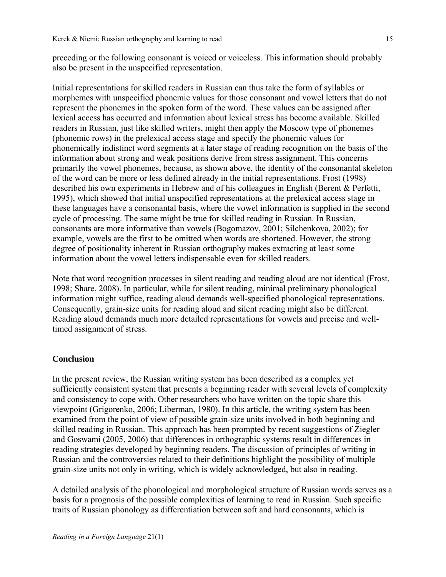preceding or the following consonant is voiced or voiceless. This information should probably also be present in the unspecified representation.

Initial representations for skilled readers in Russian can thus take the form of syllables or morphemes with unspecified phonemic values for those consonant and vowel letters that do not represent the phonemes in the spoken form of the word. These values can be assigned after lexical access has occurred and information about lexical stress has become available. Skilled readers in Russian, just like skilled writers, might then apply the Moscow type of phonemes (phonemic rows) in the prelexical access stage and specify the phonemic values for phonemically indistinct word segments at a later stage of reading recognition on the basis of the information about strong and weak positions derive from stress assignment. This concerns primarily the vowel phonemes, because, as shown above, the identity of the consonantal skeleton of the word can be more or less defined already in the initial representations. Frost (1998) described his own experiments in Hebrew and of his colleagues in English (Berent & Perfetti, 1995), which showed that initial unspecified representations at the prelexical access stage in these languages have a consonantal basis, where the vowel information is supplied in the second cycle of processing. The same might be true for skilled reading in Russian. In Russian, consonants are more informative than vowels (Bogomazov, 2001; Silchenkova, 2002); for example, vowels are the first to be omitted when words are shortened. However, the strong degree of positionality inherent in Russian orthography makes extracting at least some information about the vowel letters indispensable even for skilled readers.

Note that word recognition processes in silent reading and reading aloud are not identical (Frost, 1998; Share, 2008). In particular, while for silent reading, minimal preliminary phonological information might suffice, reading aloud demands well-specified phonological representations. Consequently, grain-size units for reading aloud and silent reading might also be different. Reading aloud demands much more detailed representations for vowels and precise and welltimed assignment of stress.

# **Conclusion**

In the present review, the Russian writing system has been described as a complex yet sufficiently consistent system that presents a beginning reader with several levels of complexity and consistency to cope with. Other researchers who have written on the topic share this viewpoint (Grigorenko, 2006; Liberman, 1980). In this article, the writing system has been examined from the point of view of possible grain-size units involved in both beginning and skilled reading in Russian. This approach has been prompted by recent suggestions of Ziegler and Goswami (2005, 2006) that differences in orthographic systems result in differences in reading strategies developed by beginning readers. The discussion of principles of writing in Russian and the controversies related to their definitions highlight the possibility of multiple grain-size units not only in writing, which is widely acknowledged, but also in reading.

A detailed analysis of the phonological and morphological structure of Russian words serves as a basis for a prognosis of the possible complexities of learning to read in Russian. Such specific traits of Russian phonology as differentiation between soft and hard consonants, which is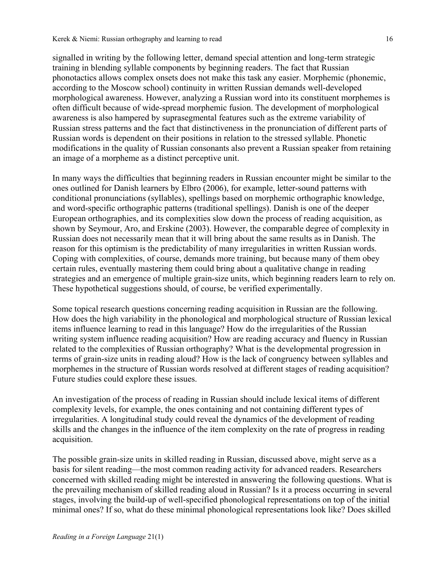signalled in writing by the following letter, demand special attention and long-term strategic training in blending syllable components by beginning readers. The fact that Russian phonotactics allows complex onsets does not make this task any easier. Morphemic (phonemic, according to the Moscow school) continuity in written Russian demands well-developed morphological awareness. However, analyzing a Russian word into its constituent morphemes is often difficult because of wide-spread morphemic fusion. The development of morphological awareness is also hampered by suprasegmental features such as the extreme variability of Russian stress patterns and the fact that distinctiveness in the pronunciation of different parts of Russian words is dependent on their positions in relation to the stressed syllable. Phonetic modifications in the quality of Russian consonants also prevent a Russian speaker from retaining an image of a morpheme as a distinct perceptive unit.

In many ways the difficulties that beginning readers in Russian encounter might be similar to the ones outlined for Danish learners by Elbro (2006), for example, letter-sound patterns with conditional pronunciations (syllables), spellings based on morphemic orthographic knowledge, and word-specific orthographic patterns (traditional spellings). Danish is one of the deeper European orthographies, and its complexities slow down the process of reading acquisition, as shown by Seymour, Aro, and Erskine (2003). However, the comparable degree of complexity in Russian does not necessarily mean that it will bring about the same results as in Danish. The reason for this optimism is the predictability of many irregularities in written Russian words. Coping with complexities, of course, demands more training, but because many of them obey certain rules, eventually mastering them could bring about a qualitative change in reading strategies and an emergence of multiple grain-size units, which beginning readers learn to rely on. These hypothetical suggestions should, of course, be verified experimentally.

Some topical research questions concerning reading acquisition in Russian are the following. How does the high variability in the phonological and morphological structure of Russian lexical items influence learning to read in this language? How do the irregularities of the Russian writing system influence reading acquisition? How are reading accuracy and fluency in Russian related to the complexities of Russian orthography? What is the developmental progression in terms of grain-size units in reading aloud? How is the lack of congruency between syllables and morphemes in the structure of Russian words resolved at different stages of reading acquisition? Future studies could explore these issues.

An investigation of the process of reading in Russian should include lexical items of different complexity levels, for example, the ones containing and not containing different types of irregularities. A longitudinal study could reveal the dynamics of the development of reading skills and the changes in the influence of the item complexity on the rate of progress in reading acquisition.

The possible grain-size units in skilled reading in Russian, discussed above, might serve as a basis for silent reading—the most common reading activity for advanced readers. Researchers concerned with skilled reading might be interested in answering the following questions. What is the prevailing mechanism of skilled reading aloud in Russian? Is it a process occurring in several stages, involving the build-up of well-specified phonological representations on top of the initial minimal ones? If so, what do these minimal phonological representations look like? Does skilled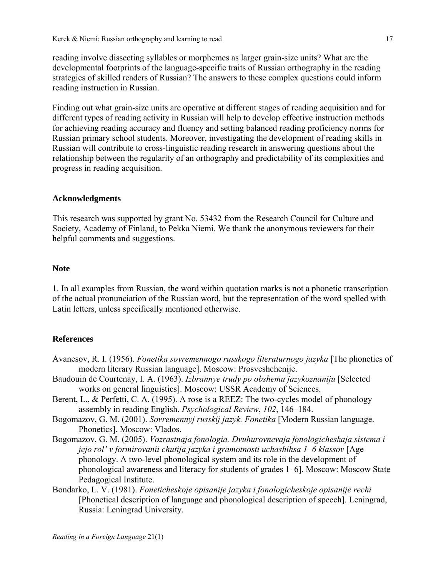reading involve dissecting syllables or morphemes as larger grain-size units? What are the developmental footprints of the language-specific traits of Russian orthography in the reading strategies of skilled readers of Russian? The answers to these complex questions could inform reading instruction in Russian.

Finding out what grain-size units are operative at different stages of reading acquisition and for different types of reading activity in Russian will help to develop effective instruction methods for achieving reading accuracy and fluency and setting balanced reading proficiency norms for Russian primary school students. Moreover, investigating the development of reading skills in Russian will contribute to cross-linguistic reading research in answering questions about the relationship between the regularity of an orthography and predictability of its complexities and progress in reading acquisition.

### **Acknowledgments**

This research was supported by grant No. 53432 from the Research Council for Culture and Society, Academy of Finland, to Pekka Niemi. We thank the anonymous reviewers for their helpful comments and suggestions.

# **Note**

1. In all examples from Russian, the word within quotation marks is not a phonetic transcription of the actual pronunciation of the Russian word, but the representation of the word spelled with Latin letters, unless specifically mentioned otherwise.

# **References**

- Avanesov, R. I. (1956). *Fonetika sovremennogo russkogo literaturnogo jazyka* [The phonetics of modern literary Russian language]. Moscow: Prosveshchenije.
- Baudouin de Courtenay, I. A. (1963). *Izbrannye trudy po obshemu jazykoznaniju* [Selected works on general linguistics]. Moscow: USSR Academy of Sciences.
- Berent, L., & Perfetti, C. A. (1995). A rose is a REEZ: The two-cycles model of phonology assembly in reading English. *Psychological Review*, *102*, 146–184.
- Bogomazov, G. M. (2001). *Sovremennyj russkij jazyk. Fonetika* [Modern Russian language. Phonetics]. Мoscow: Vlados.
- Bogomazov, G. M. (2005). *Vozrastnaja fonologia. Dvuhurovnevaja fonologicheskaja sistema i jejo rol' v formirovanii chutija jazyka i gramotnosti uchashihsa 1–6 klassov* [Age phonology. A two-level phonological system and its role in the development of phonological awareness and literacy for students of grades 1–6]. Moscow: Moscow State Pedagogical Institute.
- Bondarko, L. V. (1981). *Foneticheskoje opisanije jazyka i fonologicheskoje opisanije rechi*  [Phonetical description of language and phonological description of speech]. Leningrad, Russia: Leningrad University.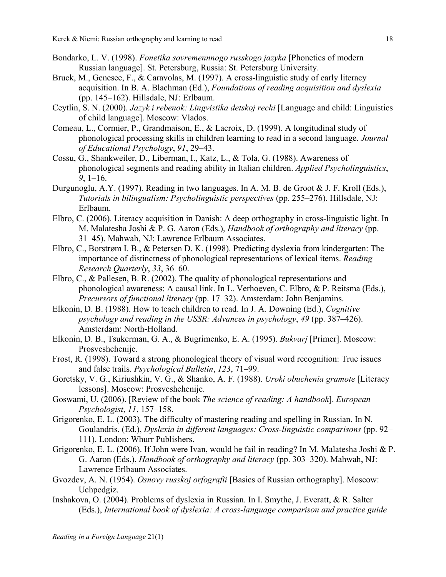- Bondarko, L. V. (1998). *Fonetika sovremennnogo russkogo jazyka* [Phonetics of modern Russian language]. St. Petersburg, Russia: St. Petersburg University.
- Bruck, M., Genesee, F., & Caravolas, M. (1997). A cross-linguistic study of early literacy acquisition. In B. A. Blachman (Ed.), *Foundations of reading acquisition and dyslexia* (pp. 145–162). Hillsdale, NJ: Erlbaum.
- Ceytlin, S. N. (2000). *Jazyk i rebenok: Lingvistika detskoj rechi* [Language and child: Linguistics of child language]. Moscow: Vlados.
- Comeau, L., Cormier, P., Grandmaison, E., & Lacroix, D. (1999). A longitudinal study of phonological processing skills in children learning to read in a second language. *Journal of Educational Psychology*, *91*, 29–43.
- Cossu, G., Shankweiler, D., Liberman, I., Katz, L., & Tola, G. (1988). Awareness of phonological segments and reading ability in Italian children. *Applied Psycholinguistics*, *9*, 1–16.
- Durgunoglu, A.Y. (1997). Reading in two languages. In A. M. B. de Groot & J. F. Kroll (Eds.), *Tutorials in bilingualism: Psycholinguistic perspectives* (pp. 255–276). Hillsdale, NJ: Erlbaum.
- Elbro, C. (2006). Literacy acquisition in Danish: A deep orthography in cross-linguistic light. In M. Malatesha Joshi & P. G. Aaron (Eds.), *Handbook of orthography and literacy* (pp. 31–45). Mahwah, NJ: Lawrence Erlbaum Associates.
- Elbro, C., Borstrøm I. B., & Petersen D. K. (1998). Predicting dyslexia from kindergarten: The importance of distinctness of phonological representations of lexical items. *Reading Research Quarterly*, *33*, 36–60.
- Elbro, C., & Pallesen, B. R. (2002). The quality of phonological representations and phonological awareness: A causal link. In L. Verhoeven, C. Elbro, & P. Reitsma (Eds.), *Precursors of functional literacy* (pp. 17–32). Amsterdam: John Benjamins.
- Elkonin, D. B. (1988). How to teach children to read. In J. A. Downing (Ed.), *Cognitive psychology and reading in the USSR: Advances in psychology*, *49* (pp. 387–426). Amsterdam: North-Holland.
- Elkonin, D. B., Tsukerman, G. A., & Bugrimenko, E. A. (1995). *Bukvarj* [Primer]. Moscow: Prosveshchenije.
- Frost, R. (1998). Toward a strong phonological theory of visual word recognition: True issues and false trails. *Psychological Bulletin*, *123*, 71–99.
- Goretsky, V. G., Kiriushkin, V. G., & Shanko, A. F. (1988). *Uroki obuchenia gramote* [Literacy lessons]. Moscow: Prosveshchenije.
- Goswami, U. (2006). [Review of the book *The science of reading: A handbook*]. *European Psychologist*, *11*, 157–158.
- Grigorenko, E. L. (2003). The difficulty of mastering reading and spelling in Russian. In N. Goulandris. (Ed.), *Dyslexia in different languages: Cross-linguistic comparisons* (pp. 92– 111). London: Whurr Publishers.
- Grigorenko, E. L. (2006). If John were Ivan, would he fail in reading? In M. Malatesha Joshi & P. G. Aaron (Eds.), *Handbook of orthography and literacy* (pp. 303–320). Mahwah, NJ: Lawrence Erlbaum Associates.
- Gvozdev, A. N. (1954). *Osnovy russkoj orfografii* [Basics of Russian orthography]. Moscow: Uchpedgiz.
- Inshakova, O. (2004). Problems of dyslexia in Russian. In I. Smythe, J. Everatt, & R. Salter (Eds.), *International book of dyslexia: A cross-language comparison and practice guide*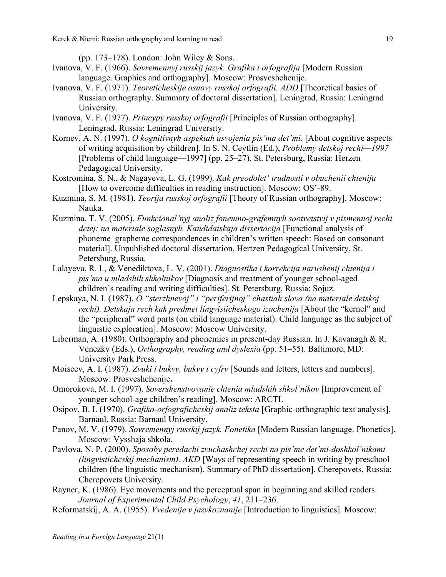Kerek & Niemi: Russian orthography and learning to read 19

(pp. 173–178). London: John Wiley  $&$  Sons.

- Ivanova, V. F. (1966). *Sovremennyj russkij jazyk. Grafika i orfografija* [Modern Russian language. Graphics and orthography]. Moscow: Prosveshchenije.
- Ivanova, V. F. (1971). *Teoreticheskije osnovy russkoj orfografii. ADD* [Theoretical basics of Russian orthography. Summary of doctoral dissertation]. Leningrad, Russia: Leningrad University.
- Ivanova, V. F. (1977). *Princypy russkoj orfografii* [Principles of Russian orthography]. Leningrad, Russia: Leningrad University.
- Kornev, A. N. (1997). *O kognitivnyh aspektah usvojenia pis'ma det'mi*. [About cognitive aspects of writing acquisition by children]. In S. N. Ceytlin (Ed.), *Problemy detskoj rechi—1997*  [Problems of child language—1997] (pp. 25–27). St. Petersburg, Russia: Herzen Pedagogical University.
- Kostromina, S. N., & Nagayeva, L. G. (1999). *Kak preodolet' trudnosti v obuchenii chteniju* [How to overcome difficulties in reading instruction]. Moscow: OS'-89.
- Kuzmina, S. M. (1981). *Teorija russkoj orfografii* [Theory of Russian orthography]. Moscow: Nauka.
- Kuzmina, T. V. (2005). *Funkcional'nyj analiz fonemno-grafemnyh sootvetstvij v pismennoj rechi*  detej: na materiale soglasnyh. Kandidatskaja dissertacija [Functional analysis of phoneme–grapheme correspondences in children's written speech: Based on consonant material]. Unpublished doctoral dissertation, Hertzen Pedagogical University, St. Petersburg, Russia.
- Lalayeva, R. I., & Venediktova, L. V. (2001). *Diagnostika i korrekcija narushenij chtenija i pis'ma u mladshih shkolnikov* [Diagnosis and treatment of younger school-aged children's reading and writing difficulties]. St. Petersburg, Russia: Sojuz.
- Lepskaya, N. I. (1987). *O "sterzhnevoj" i "periferijnoj" chastiah slova (na materiale detskoj rechi). Detskaja rech kak predmet lingvisticheskogo izuchenija* [About the "kernel" and the "peripheral" word parts (on child language material). Child language as the subject of linguistic exploration]. Moscow: Moscow University.
- Liberman, A. (1980). Orthography and phonemics in present-day Russian. In J. Kavanagh & R. Venezky (Eds.), *Orthography, reading and dyslexia* (pp. 51–55). Baltimore, MD: University Park Press.
- Moiseev, A. I. (1987). *Zvuki i bukvy, bukvy i cyfry* [Sounds and letters, letters and numbers]. Moscow: Prosveshchenije**.**
- Omorokova, М. I. (1997). *Sovershenstvovanie chtenia mladshih shkol'nikov* [Improvement of younger school-age children's reading]. Мoscow: ARCTI.
- Osipov, B. I. (1970). *Grafiko-orfograficheskij analiz teksta* [Graphic-orthographic text analysis]. Barnaul, Russia: Barnaul University.
- Panov, M. V. (1979). *Sovremennyj russkij jazyk. Fonetika* [Modern Russian language. Phonetics]. Moscow: Vysshaja shkola.
- Pavlova, N. P. (2000). *Sposoby peredachi zvuchashchej rechi na pis'me det'mi-doshkol'nikami (lingvisticheskij mechanism). AKD* [Ways of representing speech in writing by preschool children (the linguistic mechanism). Summary of PhD dissertation]. Cherepovets, Russia: Cherepovets University.
- Rayner, K. (1986). Eye movements and the perceptual span in beginning and skilled readers. *Journal of Experimental Child Psychology*, *41*, 211–236.
- Reformatskij, A. A. (1955). *Vvedenije v jazykoznanije* [Introduction to linguistics]. Moscow: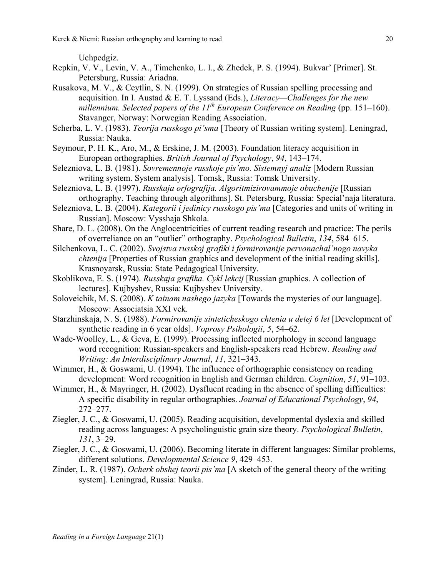Uchpedgiz.

- Repkin, V. V., Levin, V. A., Timchenko, L. I., & Zhedek, P. S. (1994). Bukvar' [Primer]. St. Petersburg, Russia: Ariadna.
- Rusakova, M. V., & Ceytlin, S. N. (1999). On strategies of Russian spelling processing and acquisition. In I. Austad & E. T. Lyssand (Eds.), *Literacy—Challenges for the new millennium. Selected papers of the 11<sup>th</sup> European Conference on Reading* (pp. 151–160). Stavanger, Norway: Norwegian Reading Association.
- Scherba, L. V. (1983). *Teorija russkogo pi'sma* [Theory of Russian writing system]. Leningrad, Russia: Nauka.
- Seymour, P. H. K., Aro, M., & Erskine, J. M. (2003). Foundation literacy acquisition in European orthographies. *British Journal of Psychology*, *94*, 143–174.
- Selezniova, L. B. (1981). *Sovremennoje russkoje pis'mo. Sistemnyj analiz* [Modern Russian writing system. System analysis]. Tomsk, Russia: Tomsk University.
- Selezniova, L. B. (1997). *Russkaja orfografija. Algoritmizirovammoje obuchenije* [Russian orthography. Teaching through algorithms]. St. Petersburg, Russia: Special'naja literatura.
- Selezniova, L. B. (2004). *Kategorii i jedinicy russkogo pis'ma* [Categories and units of writing in Russian]. Moscow: Vysshaja Shkola.
- Share, D. L. (2008). On the Anglocentricities of current reading research and practice: The perils of overreliance on an "outlier" orthography. *Psychological Bulletin*, *134*, 584–615.
- Silchenkova, L. C. (2002). *Svojstva russkoj grafiki i formirovanije pervonachal'nogo navyka chtenija* [Properties of Russian graphics and development of the initial reading skills]. Krasnoyarsk, Russia: State Pedagogical University.
- Skoblikova, E. S. (1974). *Russkaja grafika. Cykl lekcij* [Russian graphics. A collection of lectures]. Kujbyshev, Russia: Kujbyshev University.
- Soloveichik, M. S. (2008). *K tainam nashego jazyka* [Towards the mysteries of our language]. Moscow: Associatsia XXI vek.
- Starzhinskaja, N. S. (1988). *Formirovanije sinteticheskogo chtenia u detej 6 let* [Development of synthetic reading in 6 year olds]. *Voprosy Psihologii*, *5*, 54–62.
- Wade-Woolley, L., & Geva, E. (1999). Processing inflected morphology in second language word recognition: Russian-speakers and English-speakers read Hebrew. *Reading and Writing: An Interdisciplinary Journal*, *11*, 321–343.
- Wimmer, H., & Goswami, U. (1994). The influence of orthographic consistency on reading development: Word recognition in English and German children. *Cognition*, *51*, 91–103.
- Wimmer, H., & Mayringer, H. (2002). Dysfluent reading in the absence of spelling difficulties: A specific disability in regular orthographies. *Journal of Educational Psychology*, *94*, 272–277.
- Ziegler, J. C., & Goswami, U. (2005). Reading acquisition, developmental dyslexia and skilled reading across languages: A psycholinguistic grain size theory. *Psychological Bulletin*, *131*, 3–29.
- Ziegler, J. C., & Goswami, U. (2006). Becoming literate in different languages: Similar problems, different solutions. *Developmental Science 9*, 429–453.
- Zinder, L. R. (1987). *Ocherk obshej teorii pis'ma* [A sketch of the general theory of the writing system]. Leningrad, Russia: Nauka.